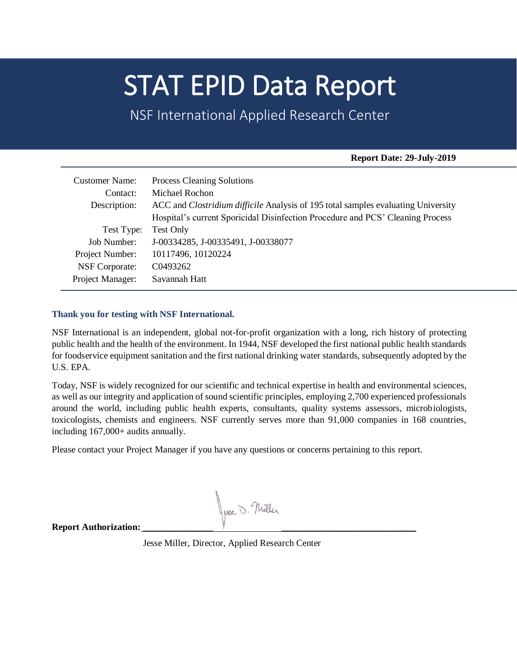# STAT EPID Data Report

NSF International Applied Research Center

## **Report Date: 29-July-2019**

| <b>Customer Name:</b> | <b>Process Cleaning Solutions</b>                                                        |
|-----------------------|------------------------------------------------------------------------------------------|
| Contact:              | Michael Rochon                                                                           |
| Description:          | ACC and <i>Clostridium difficile</i> Analysis of 195 total samples evaluating University |
|                       | Hospital's current Sporicidal Disinfection Procedure and PCS' Cleaning Process           |
| Test Type:            | Test Only                                                                                |
| Job Number:           | J-00334285, J-00335491, J-00338077                                                       |
| Project Number:       | 10117496, 10120224                                                                       |
| <b>NSF</b> Corporate: | C <sub>0493262</sub>                                                                     |
| Project Manager:      | Savannah Hatt                                                                            |

## **Thank you for testing with NSF International.**

NSF International is an independent, global not-for-profit organization with a long, rich history of protecting public health and the health of the environment. In 1944, NSF developed the first national public health standards for foodservice equipment sanitation and the first national drinking water standards, subsequently adopted by the U.S. EPA.

Today, NSF is widely recognized for our scientific and technical expertise in health and environmental sciences, as well as our integrity and application of sound scientific principles, employing 2,700 experienced professionals around the world, including public health experts, consultants, quality systems assessors, microbiologists, toxicologists, chemists and engineers. NSF currently serves more than 91,000 companies in 168 countries, including 167,000+ audits annually.

Please contact your Project Manager if you have any questions or concerns pertaining to this report.

Juse D. Nuller

**Report Authorization:** 

Jesse Miller, Director, Applied Research Center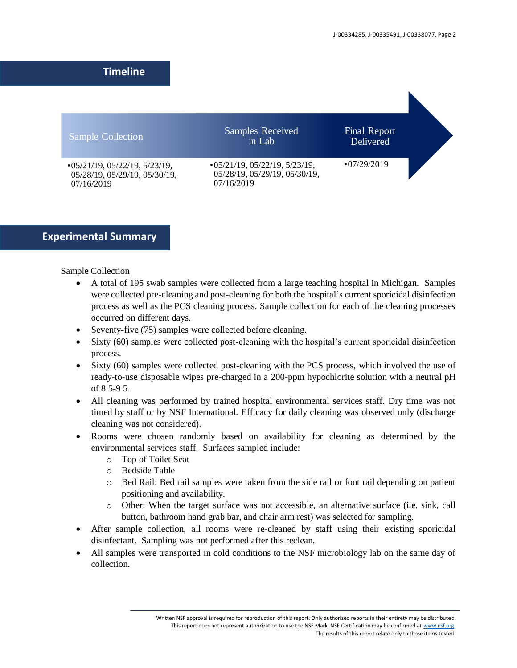## **Timeline**

| Sample Collection                                                                   | <b>Samples Received</b><br>in Lab                                                   | <b>Final Report</b><br>Delivered |  |
|-------------------------------------------------------------------------------------|-------------------------------------------------------------------------------------|----------------------------------|--|
| $\cdot$ 05/21/19, 05/22/19, 5/23/19,<br>05/28/19, 05/29/19, 05/30/19,<br>07/16/2019 | $\cdot$ 05/21/19, 05/22/19, 5/23/19,<br>05/28/19, 05/29/19, 05/30/19,<br>07/16/2019 | $\cdot$ 07/29/2019               |  |

## **Experimental Summary**

## Sample Collection

- A total of 195 swab samples were collected from a large teaching hospital in Michigan. Samples were collected pre-cleaning and post-cleaning for both the hospital's current sporicidal disinfection process as well as the PCS cleaning process. Sample collection for each of the cleaning processes occurred on different days.
- Seventy-five (75) samples were collected before cleaning.
- Sixty (60) samples were collected post-cleaning with the hospital's current sporicidal disinfection process.
- Sixty (60) samples were collected post-cleaning with the PCS process, which involved the use of ready-to-use disposable wipes pre-charged in a 200-ppm hypochlorite solution with a neutral pH of 8.5-9.5.
- All cleaning was performed by trained hospital environmental services staff. Dry time was not timed by staff or by NSF International. Efficacy for daily cleaning was observed only (discharge cleaning was not considered).
- Rooms were chosen randomly based on availability for cleaning as determined by the environmental services staff. Surfaces sampled include:
	- o Top of Toilet Seat
	- o Bedside Table
	- o Bed Rail: Bed rail samples were taken from the side rail or foot rail depending on patient positioning and availability.
	- o Other: When the target surface was not accessible, an alternative surface (i.e. sink, call button, bathroom hand grab bar, and chair arm rest) was selected for sampling.
- After sample collection, all rooms were re-cleaned by staff using their existing sporicidal disinfectant. Sampling was not performed after this reclean.
- All samples were transported in cold conditions to the NSF microbiology lab on the same day of collection.

Written NSF approval is required for reproduction of this report. Only authorized reports in their entirety may be distributed. This report does not represent authorization to use the NSF Mark. NSF Certification may be confirmed a[t www.nsf.org.](http://www.nsf.org/) The results of this report relate only to those items tested.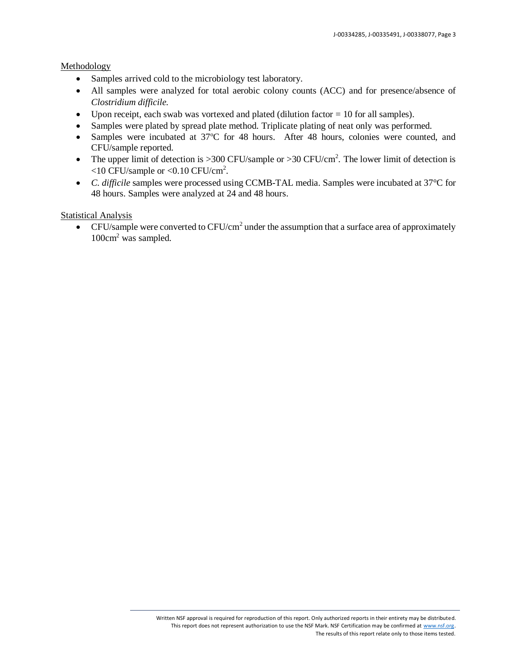#### Methodology

- Samples arrived cold to the microbiology test laboratory.
- All samples were analyzed for total aerobic colony counts (ACC) and for presence/absence of *Clostridium difficile.*
- Upon receipt, each swab was vortexed and plated (dilution factor  $= 10$  for all samples).
- Samples were plated by spread plate method. Triplicate plating of neat only was performed.
- Samples were incubated at  $37^{\circ}$ C for 48 hours. After 48 hours, colonies were counted, and CFU/sample reported.
- The upper limit of detection is  $>300$  CFU/sample or  $>30$  CFU/cm<sup>2</sup>. The lower limit of detection is  $<$ 10 CFU/sample or  $<$ 0.10 CFU/cm<sup>2</sup>.
- *C. difficile* samples were processed using CCMB-TAL media. Samples were incubated at 37°C for 48 hours. Samples were analyzed at 24 and 48 hours.

## Statistical Analysis

• CFU/sample were converted to CFU/cm<sup>2</sup> under the assumption that a surface area of approximately 100cm<sup>2</sup> was sampled.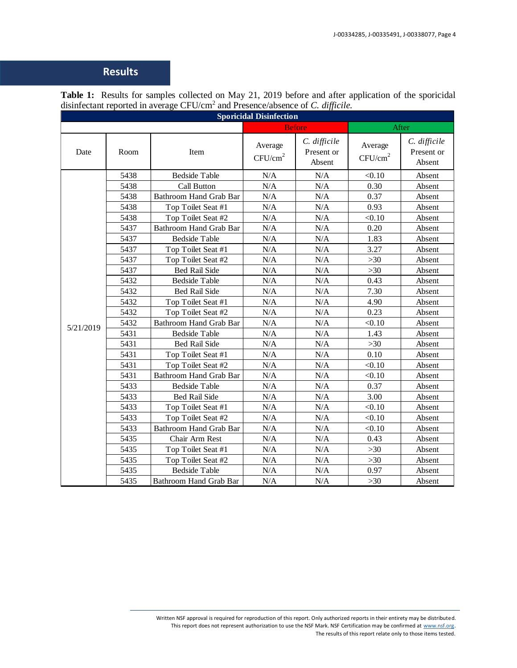# **Results**

| <b>Sporicidal Disinfection</b> |      |                               |                                |                                      |                                |                                      |  |  |
|--------------------------------|------|-------------------------------|--------------------------------|--------------------------------------|--------------------------------|--------------------------------------|--|--|
|                                |      |                               |                                | <b>Before</b>                        |                                | After                                |  |  |
| Date                           | Room | Item                          | Average<br>CFU/cm <sup>2</sup> | C. difficile<br>Present or<br>Absent | Average<br>CFU/cm <sup>2</sup> | C. difficile<br>Present or<br>Absent |  |  |
|                                | 5438 | <b>Bedside Table</b>          | N/A                            | N/A                                  | < 0.10                         | Absent                               |  |  |
|                                | 5438 | Call Button                   | N/A                            | N/A                                  | 0.30                           | Absent                               |  |  |
|                                | 5438 | Bathroom Hand Grab Bar        | N/A                            | N/A                                  | 0.37                           | Absent                               |  |  |
|                                | 5438 | Top Toilet Seat #1            | N/A                            | N/A                                  | 0.93                           | Absent                               |  |  |
|                                | 5438 | Top Toilet Seat #2            | N/A                            | N/A                                  | < 0.10                         | Absent                               |  |  |
|                                | 5437 | Bathroom Hand Grab Bar        | $\rm N/A$                      | N/A                                  | 0.20                           | Absent                               |  |  |
|                                | 5437 | <b>Bedside Table</b>          | N/A                            | N/A                                  | 1.83                           | Absent                               |  |  |
|                                | 5437 | Top Toilet Seat #1            | $\rm N/A$                      | N/A                                  | 3.27                           | Absent                               |  |  |
|                                | 5437 | Top Toilet Seat #2            | N/A                            | N/A                                  | $>30$                          | Absent                               |  |  |
|                                | 5437 | <b>Bed Rail Side</b>          | N/A                            | N/A                                  | $>30$                          | Absent                               |  |  |
|                                | 5432 | <b>Bedside Table</b>          | N/A                            | N/A                                  | 0.43                           | Absent                               |  |  |
|                                | 5432 | Bed Rail Side                 | N/A                            | N/A                                  | 7.30                           | Absent                               |  |  |
|                                | 5432 | Top Toilet Seat #1            | N/A                            | N/A                                  | 4.90                           | Absent                               |  |  |
|                                | 5432 | Top Toilet Seat #2            | N/A                            | N/A                                  | 0.23                           | Absent                               |  |  |
| 5/21/2019                      | 5432 | Bathroom Hand Grab Bar        | N/A                            | N/A                                  | < 0.10                         | Absent                               |  |  |
|                                | 5431 | <b>Bedside Table</b>          | N/A                            | N/A                                  | 1.43                           | Absent                               |  |  |
|                                | 5431 | Bed Rail Side                 | N/A                            | N/A                                  | $>30$                          | Absent                               |  |  |
|                                | 5431 | Top Toilet Seat #1            | N/A                            | N/A                                  | 0.10                           | Absent                               |  |  |
|                                | 5431 | Top Toilet Seat #2            | N/A                            | N/A                                  | < 0.10                         | Absent                               |  |  |
|                                | 5431 | <b>Bathroom Hand Grab Bar</b> | N/A                            | N/A                                  | < 0.10                         | Absent                               |  |  |
|                                | 5433 | <b>Bedside Table</b>          | N/A                            | N/A                                  | 0.37                           | Absent                               |  |  |
|                                | 5433 | Bed Rail Side                 | N/A                            | N/A                                  | 3.00                           | Absent                               |  |  |
|                                | 5433 | Top Toilet Seat #1            | N/A                            | N/A                                  | < 0.10                         | Absent                               |  |  |
|                                | 5433 | Top Toilet Seat #2            | $\rm N/A$                      | $\rm N/A$                            | < 0.10                         | Absent                               |  |  |
|                                | 5433 | Bathroom Hand Grab Bar        | N/A                            | N/A                                  | < 0.10                         | Absent                               |  |  |
|                                | 5435 | Chair Arm Rest                | $\rm N/A$                      | $\rm N/A$                            | 0.43                           | Absent                               |  |  |
|                                | 5435 | Top Toilet Seat #1            | N/A                            | N/A                                  | $>30$                          | Absent                               |  |  |
|                                | 5435 | Top Toilet Seat #2            | $\rm N/A$                      | $\rm N/A$                            | $>30$                          | Absent                               |  |  |
|                                | 5435 | <b>Bedside Table</b>          | N/A                            | N/A                                  | 0.97                           | Absent                               |  |  |
|                                | 5435 | <b>Bathroom Hand Grab Bar</b> | N/A                            | N/A                                  | $>30$                          | Absent                               |  |  |

**Table 1:** Results for samples collected on May 21, 2019 before and after application of the sporicidal disinfectant reported in average CFU/cm<sup>2</sup> and Presence/absence of *C. difficile.*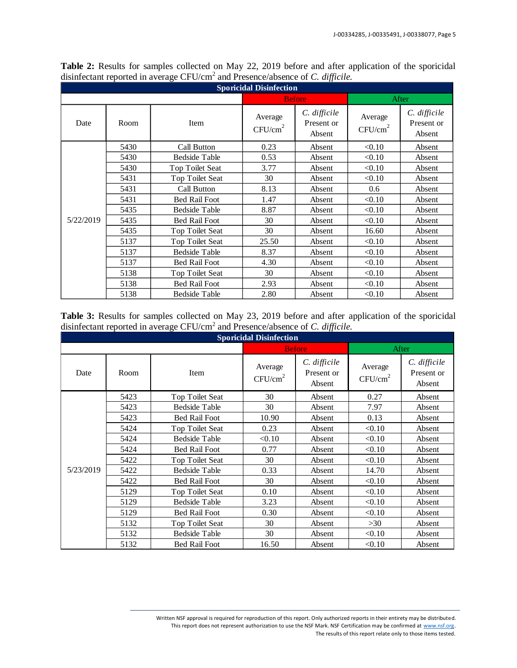| <b>Sporicidal Disinfection</b> |      |                      |                                |                                      |                                |                                      |  |  |  |
|--------------------------------|------|----------------------|--------------------------------|--------------------------------------|--------------------------------|--------------------------------------|--|--|--|
|                                |      |                      |                                | <b>Before</b>                        |                                | After                                |  |  |  |
| Date<br>Room                   |      | Item                 | Average<br>CFU/cm <sup>2</sup> | C. difficile<br>Present or<br>Absent | Average<br>CFU/cm <sup>2</sup> | C. difficile<br>Present or<br>Absent |  |  |  |
|                                | 5430 | Call Button          | 0.23                           | Absent                               | < 0.10                         | Absent                               |  |  |  |
|                                | 5430 | <b>Bedside Table</b> | 0.53                           | Absent                               | < 0.10                         | Absent                               |  |  |  |
|                                | 5430 | Top Toilet Seat      | 3.77                           | Absent                               | < 0.10                         | Absent                               |  |  |  |
|                                | 5431 | Top Toilet Seat      | 30                             | Absent                               | < 0.10                         | Absent                               |  |  |  |
|                                | 5431 | Call Button          | 8.13                           | Absent                               | 0.6                            | Absent                               |  |  |  |
|                                | 5431 | <b>Bed Rail Foot</b> | 1.47                           | Absent                               | < 0.10                         | Absent                               |  |  |  |
|                                | 5435 | <b>Bedside Table</b> | 8.87                           | Absent                               | < 0.10                         | Absent                               |  |  |  |
| 5/22/2019                      | 5435 | <b>Bed Rail Foot</b> | 30                             | Absent                               | < 0.10                         | Absent                               |  |  |  |
|                                | 5435 | Top Toilet Seat      | 30                             | Absent                               | 16.60                          | Absent                               |  |  |  |
|                                | 5137 | Top Toilet Seat      | 25.50                          | Absent                               | < 0.10                         | Absent                               |  |  |  |
|                                | 5137 | <b>Bedside Table</b> | 8.37                           | Absent                               | < 0.10                         | Absent                               |  |  |  |
|                                | 5137 | <b>Bed Rail Foot</b> | 4.30                           | Absent                               | < 0.10                         | Absent                               |  |  |  |
|                                | 5138 | Top Toilet Seat      | 30                             | Absent                               | < 0.10                         | Absent                               |  |  |  |
|                                | 5138 | <b>Bed Rail Foot</b> | 2.93                           | Absent                               | < 0.10                         | Absent                               |  |  |  |
|                                | 5138 | <b>Bedside Table</b> | 2.80                           | Absent                               | < 0.10                         | Absent                               |  |  |  |

**Table 2:** Results for samples collected on May 22, 2019 before and after application of the sporicidal disinfectant reported in average CFU/cm<sup>2</sup> and Presence/absence of *C. difficile.*

Table 3: Results for samples collected on May 23, 2019 before and after application of the sporicidal disinfectant reported in average CFU/cm<sup>2</sup> and Presence/absence of *C. difficile.*

| <b>Sporicidal Disinfection</b> |              |                      |                                |                                        |                                |                                      |  |  |
|--------------------------------|--------------|----------------------|--------------------------------|----------------------------------------|--------------------------------|--------------------------------------|--|--|
|                                |              |                      |                                | <b>Before</b>                          |                                | After                                |  |  |
| Date                           | Item<br>Room |                      | Average<br>CFU/cm <sup>2</sup> | $C.$ difficile<br>Present or<br>Absent | Average<br>CFU/cm <sup>2</sup> | C. difficile<br>Present or<br>Absent |  |  |
|                                | 5423         | Top Toilet Seat      | 30                             | Absent                                 | 0.27                           | Absent                               |  |  |
|                                | 5423         | <b>Bedside Table</b> | 30                             | Absent                                 | 7.97                           | Absent                               |  |  |
|                                | 5423         | <b>Bed Rail Foot</b> | 10.90                          | Absent                                 | 0.13                           | Absent                               |  |  |
|                                | 5424         | Top Toilet Seat      | 0.23                           | Absent                                 | < 0.10                         | Absent                               |  |  |
|                                | 5424         | <b>Bedside Table</b> | < 0.10                         | Absent                                 | < 0.10                         | Absent                               |  |  |
|                                | 5424         | <b>Bed Rail Foot</b> | 0.77                           | Absent                                 | < 0.10                         | Absent                               |  |  |
|                                | 5422         | Top Toilet Seat      | 30                             | Absent                                 | < 0.10                         | Absent                               |  |  |
| 5/23/2019                      | 5422         | <b>Bedside Table</b> | 0.33                           | Absent                                 | 14.70                          | Absent                               |  |  |
|                                | 5422         | <b>Bed Rail Foot</b> | 30                             | Absent                                 | < 0.10                         | Absent                               |  |  |
|                                | 5129         | Top Toilet Seat      | 0.10                           | Absent                                 | < 0.10                         | Absent                               |  |  |
|                                | 5129         | <b>Bedside Table</b> | 3.23                           | Absent                                 | < 0.10                         | Absent                               |  |  |
|                                | 5129         | <b>Bed Rail Foot</b> | 0.30                           | Absent                                 | < 0.10                         | Absent                               |  |  |
|                                | 5132         | Top Toilet Seat      | 30                             | Absent                                 | >30                            | Absent                               |  |  |
|                                | 5132         | <b>Bedside Table</b> | 30                             | Absent                                 | < 0.10                         | Absent                               |  |  |
|                                | 5132         | <b>Bed Rail Foot</b> | 16.50                          | Absent                                 | < 0.10                         | Absent                               |  |  |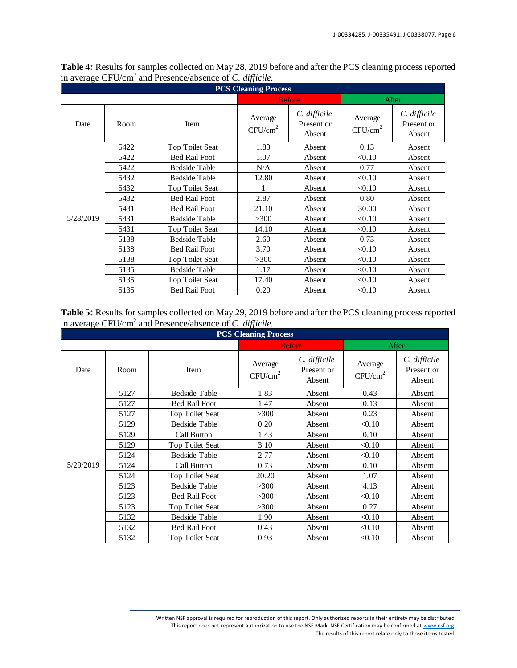| <b>PCS Cleaning Process</b> |      |                        |                                |                                        |                                |                                        |  |  |  |
|-----------------------------|------|------------------------|--------------------------------|----------------------------------------|--------------------------------|----------------------------------------|--|--|--|
|                             |      |                        |                                | <b>Before</b>                          |                                | After                                  |  |  |  |
| Date                        | Room | Item                   | Average<br>CFU/cm <sup>2</sup> | $C.$ difficile<br>Present or<br>Absent | Average<br>CFU/cm <sup>2</sup> | $C.$ difficile<br>Present or<br>Absent |  |  |  |
|                             | 5422 | Top Toilet Seat        | 1.83                           | Absent                                 | 0.13                           | Absent                                 |  |  |  |
|                             | 5422 | <b>Bed Rail Foot</b>   | 1.07                           | Absent                                 | < 0.10                         | Absent                                 |  |  |  |
|                             | 5422 | <b>Bedside Table</b>   | N/A                            | Absent                                 | 0.77                           | Absent                                 |  |  |  |
|                             | 5432 | <b>Bedside Table</b>   | 12.80                          | Absent                                 | < 0.10                         | Absent                                 |  |  |  |
|                             | 5432 | <b>Top Toilet Seat</b> |                                | Absent                                 | < 0.10                         | Absent                                 |  |  |  |
|                             | 5432 | <b>Bed Rail Foot</b>   | 2.87                           | Absent                                 | 0.80                           | Absent                                 |  |  |  |
|                             | 5431 | <b>Bed Rail Foot</b>   | 21.10                          | Absent                                 | 30.00                          | Absent                                 |  |  |  |
| 5/28/2019                   | 5431 | <b>Bedside Table</b>   | >300                           | Absent                                 | < 0.10                         | Absent                                 |  |  |  |
|                             | 5431 | Top Toilet Seat        | 14.10                          | Absent                                 | < 0.10                         | Absent                                 |  |  |  |
|                             | 5138 | <b>Bedside Table</b>   | 2.60                           | Absent                                 | 0.73                           | Absent                                 |  |  |  |
|                             | 5138 | <b>Bed Rail Foot</b>   | 3.70                           | Absent                                 | < 0.10                         | Absent                                 |  |  |  |
|                             | 5138 | Top Toilet Seat        | >300                           | Absent                                 | < 0.10                         | Absent                                 |  |  |  |
|                             | 5135 | <b>Bedside Table</b>   | 1.17                           | Absent                                 | < 0.10                         | Absent                                 |  |  |  |
|                             | 5135 | Top Toilet Seat        | 17.40                          | Absent                                 | < 0.10                         | Absent                                 |  |  |  |
|                             | 5135 | <b>Bed Rail Foot</b>   | 0.20                           | Absent                                 | < 0.10                         | Absent                                 |  |  |  |

**Table 4:** Results for samples collected on May 28, 2019 before and after the PCS cleaning process reported in average CFU/cm<sup>2</sup> and Presence/absence of *C. difficile.*

**Table 5:** Results for samples collected on May 29, 2019 before and after the PCS cleaning process reported in average CFU/cm<sup>2</sup> and Presence/absence of *C. difficile.*

| <b>PCS Cleaning Process</b> |      |                      |                                |                                        |                                |                                        |  |  |  |
|-----------------------------|------|----------------------|--------------------------------|----------------------------------------|--------------------------------|----------------------------------------|--|--|--|
|                             |      |                      |                                | <b>Before</b>                          |                                | After                                  |  |  |  |
| Date<br>Room                |      | Item                 | Average<br>CFU/cm <sup>2</sup> | $C.$ difficile<br>Present or<br>Absent | Average<br>CFU/cm <sup>2</sup> | $C.$ difficile<br>Present or<br>Absent |  |  |  |
|                             | 5127 | <b>Bedside Table</b> | 1.83                           | Absent                                 | 0.43                           | Absent                                 |  |  |  |
|                             | 5127 | <b>Bed Rail Foot</b> | 1.47                           | Absent                                 | 0.13                           | Absent                                 |  |  |  |
|                             | 5127 | Top Toilet Seat      | >300                           | Absent                                 | 0.23                           | Absent                                 |  |  |  |
|                             | 5129 | <b>Bedside Table</b> | 0.20                           | Absent                                 | < 0.10                         | Absent                                 |  |  |  |
|                             | 5129 | Call Button          | 1.43                           | Absent                                 | 0.10                           | Absent                                 |  |  |  |
|                             | 5129 | Top Toilet Seat      | 3.10                           | Absent                                 | < 0.10                         | Absent                                 |  |  |  |
|                             | 5124 | <b>Bedside Table</b> | 2.77                           | Absent                                 | < 0.10                         | Absent                                 |  |  |  |
| 5/29/2019                   | 5124 | Call Button          | 0.73                           | Absent                                 | 0.10                           | Absent                                 |  |  |  |
|                             | 5124 | Top Toilet Seat      | 20.20                          | Absent                                 | 1.07                           | Absent                                 |  |  |  |
|                             | 5123 | <b>Bedside Table</b> | >300                           | Absent                                 | 4.13                           | Absent                                 |  |  |  |
|                             | 5123 | <b>Bed Rail Foot</b> | >300                           | Absent                                 | < 0.10                         | Absent                                 |  |  |  |
|                             | 5123 | Top Toilet Seat      | >300                           | Absent                                 | 0.27                           | Absent                                 |  |  |  |
|                             | 5132 | <b>Bedside Table</b> | 1.90                           | Absent                                 | < 0.10                         | Absent                                 |  |  |  |
|                             | 5132 | <b>Bed Rail Foot</b> | 0.43                           | Absent                                 | < 0.10                         | Absent                                 |  |  |  |
|                             | 5132 | Top Toilet Seat      | 0.93                           | Absent                                 | < 0.10                         | Absent                                 |  |  |  |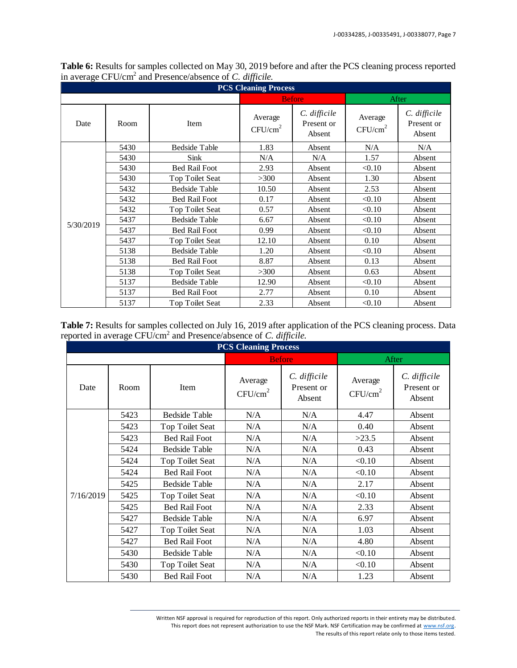| <b>PCS Cleaning Process</b> |      |                        |       |                                        |                                |                                      |  |  |  |
|-----------------------------|------|------------------------|-------|----------------------------------------|--------------------------------|--------------------------------------|--|--|--|
|                             |      |                        |       | <b>Before</b>                          | After                          |                                      |  |  |  |
| Date                        | Room | Item                   |       | $C.$ difficile<br>Present or<br>Absent | Average<br>CFU/cm <sup>2</sup> | C. difficile<br>Present or<br>Absent |  |  |  |
|                             | 5430 | <b>Bedside Table</b>   | 1.83  | Absent                                 | N/A                            | N/A                                  |  |  |  |
|                             | 5430 | Sink                   | N/A   | N/A                                    | 1.57                           | Absent                               |  |  |  |
|                             | 5430 | <b>Bed Rail Foot</b>   | 2.93  | Absent                                 | < 0.10                         | Absent                               |  |  |  |
|                             | 5430 | Top Toilet Seat        | >300  | Absent                                 | 1.30                           | Absent                               |  |  |  |
|                             | 5432 | <b>Bedside Table</b>   | 10.50 | Absent                                 | 2.53                           | Absent                               |  |  |  |
|                             | 5432 | <b>Bed Rail Foot</b>   | 0.17  | Absent                                 | < 0.10                         | Absent                               |  |  |  |
|                             | 5432 | Top Toilet Seat        | 0.57  | Absent                                 | < 0.10                         | Absent                               |  |  |  |
| 5/30/2019                   | 5437 | <b>Bedside Table</b>   | 6.67  | Absent                                 | < 0.10                         | Absent                               |  |  |  |
|                             | 5437 | <b>Bed Rail Foot</b>   | 0.99  | Absent                                 | < 0.10                         | Absent                               |  |  |  |
|                             | 5437 | Top Toilet Seat        | 12.10 | Absent                                 | 0.10                           | Absent                               |  |  |  |
|                             | 5138 | <b>Bedside Table</b>   | 1.20  | Absent                                 | < 0.10                         | Absent                               |  |  |  |
|                             | 5138 | <b>Bed Rail Foot</b>   | 8.87  | Absent                                 | 0.13                           | Absent                               |  |  |  |
|                             | 5138 | Top Toilet Seat        | >300  | Absent                                 | 0.63                           | Absent                               |  |  |  |
|                             | 5137 | <b>Bedside Table</b>   | 12.90 | Absent                                 | < 0.10                         | Absent                               |  |  |  |
|                             | 5137 | <b>Bed Rail Foot</b>   | 2.77  | Absent                                 | 0.10                           | Absent                               |  |  |  |
|                             | 5137 | <b>Top Toilet Seat</b> | 2.33  | Absent                                 | < 0.10                         | Absent                               |  |  |  |

**Table 6:** Results for samples collected on May 30, 2019 before and after the PCS cleaning process reported in average CFU/cm<sup>2</sup> and Presence/absence of *C. difficile.*

**Table 7:** Results for samples collected on July 16, 2019 after application of the PCS cleaning process. Data reported in average CFU/cm<sup>2</sup> and Presence/absence of *C. difficile.*

| <b>PCS Cleaning Process</b> |      |                      |                                |                                        |                                |                                        |  |  |  |
|-----------------------------|------|----------------------|--------------------------------|----------------------------------------|--------------------------------|----------------------------------------|--|--|--|
|                             |      |                      |                                | <b>Before</b>                          | After                          |                                        |  |  |  |
| Date                        | Room | Item                 | Average<br>CFU/cm <sup>2</sup> | $C.$ difficile<br>Present or<br>Absent | Average<br>CFU/cm <sup>2</sup> | $C.$ difficile<br>Present or<br>Absent |  |  |  |
|                             | 5423 | <b>Bedside Table</b> | N/A                            | N/A                                    | 4.47                           | Absent                                 |  |  |  |
|                             | 5423 | Top Toilet Seat      | N/A                            | N/A                                    | 0.40                           | Absent                                 |  |  |  |
|                             | 5423 | <b>Bed Rail Foot</b> | N/A                            | N/A                                    | >23.5                          | Absent                                 |  |  |  |
|                             | 5424 | <b>Bedside Table</b> | N/A                            | N/A                                    | 0.43                           | Absent                                 |  |  |  |
|                             | 5424 | Top Toilet Seat      | N/A                            | N/A                                    | < 0.10                         | Absent                                 |  |  |  |
|                             | 5424 | <b>Bed Rail Foot</b> | N/A                            | N/A                                    | < 0.10                         | Absent                                 |  |  |  |
|                             | 5425 | <b>Bedside Table</b> | N/A                            | N/A                                    | 2.17                           | Absent                                 |  |  |  |
| 7/16/2019                   | 5425 | Top Toilet Seat      | N/A                            | N/A                                    | < 0.10                         | Absent                                 |  |  |  |
|                             | 5425 | <b>Bed Rail Foot</b> | N/A                            | N/A                                    | 2.33                           | Absent                                 |  |  |  |
|                             | 5427 | <b>Bedside Table</b> | N/A                            | N/A                                    | 6.97                           | Absent                                 |  |  |  |
|                             | 5427 | Top Toilet Seat      | N/A                            | N/A                                    | 1.03                           | Absent                                 |  |  |  |
|                             | 5427 | <b>Bed Rail Foot</b> | N/A                            | N/A                                    | 4.80                           | Absent                                 |  |  |  |
|                             | 5430 | <b>Bedside Table</b> | N/A                            | N/A                                    | < 0.10                         | Absent                                 |  |  |  |
|                             | 5430 | Top Toilet Seat      | N/A                            | N/A                                    | < 0.10                         | Absent                                 |  |  |  |
|                             | 5430 | <b>Bed Rail Foot</b> | N/A                            | N/A                                    | 1.23                           | Absent                                 |  |  |  |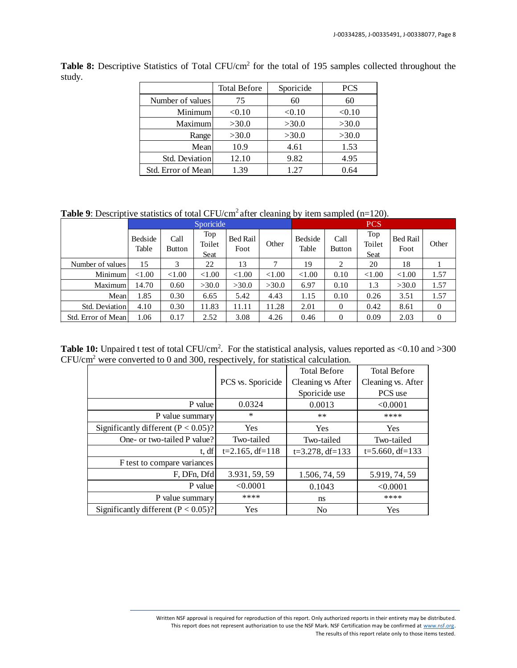|                    | <b>Total Before</b> | Sporicide | <b>PCS</b> |
|--------------------|---------------------|-----------|------------|
| Number of values   | 75                  | 60        | 60         |
| Minimum            | < 0.10              | < 0.10    | < 0.10     |
| Maximum            | >30.0               | >30.0     | >30.0      |
| Range              | >30.0               | >30.0     | >30.0      |
| Mean               | 10.9                | 4.61      | 1.53       |
| Std. Deviation     | 12.10               | 9.82      | 4.95       |
| Std. Error of Mean | 1.39                | 1.27      | 0.64       |

**Table 8:** Descriptive Statistics of Total CFU/cm<sup>2</sup> for the total of 195 samples collected throughout the study.

**Table 9**: Descriptive statistics of total CFU/cm<sup>2</sup> after cleaning by item sampled (n=120).

|                    | Sporicide        |                |                       |                  |           |                  |                       | <b>PCS</b>            |                  |                |
|--------------------|------------------|----------------|-----------------------|------------------|-----------|------------------|-----------------------|-----------------------|------------------|----------------|
|                    | Bedside<br>Table | Call<br>Button | Top<br>Toilet<br>Seat | Bed Rail<br>Foot | Other     | Bedside<br>Table | Call<br><b>Button</b> | Top<br>Toilet<br>Seat | Bed Rail<br>Foot | Other          |
| Number of values   | 15               | 3              | 22                    | 13               | 7         | 19               | 2                     | 20                    | 18               |                |
| Minimum            | ${<}1.00$        | ${<}1.00$      | < 1.00                | ${<}1.00$        | ${<}1.00$ | ${<}1.00$        | 0.10                  | ${<}1.00$             | ${<}1.00$        | 1.57           |
| Maximum            | 14.70            | 0.60           | >30.0                 | >30.0            | >30.0     | 6.97             | 0.10                  | 1.3                   | >30.0            | 1.57           |
| Mean               | 1.85             | 0.30           | 6.65                  | 5.42             | 4.43      | 1.15             | 0.10                  | 0.26                  | 3.51             | 1.57           |
| Std. Deviation     | 4.10             | 0.30           | 11.83                 | 11.11            | 11.28     | 2.01             | $\Omega$              | 0.42                  | 8.61             | $\overline{0}$ |
| Std. Error of Mean | 1.06             | 0.17           | 2.52                  | 3.08             | 4.26      | 0.46             | $\Omega$              | 0.09                  | 2.03             | $\overline{0}$ |

**Table 10:** Unpaired t test of total CFU/cm<sup>2</sup>. For the statistical analysis, values reported as  $\langle 0.10 \text{ and } \rangle 300$ CFU/cm<sup>2</sup> were converted to 0 and 300, respectively, for statistical calculation.

|                                        |                    | <b>Total Before</b> | <b>Total Before</b> |
|----------------------------------------|--------------------|---------------------|---------------------|
|                                        | PCS vs. Sporicide  | Cleaning vs After   | Cleaning vs. After  |
|                                        |                    | Sporicide use       | PCS use             |
| P value                                | 0.0324             | 0.0013              | < 0.0001            |
| P value summary                        | $\ast$             | $***$               | ****                |
| Significantly different $(P < 0.05)$ ? | <b>Yes</b>         | <b>Yes</b>          | Yes                 |
| One- or two-tailed P value?            | Two-tailed         | Two-tailed          | Two-tailed          |
| t, df                                  | $t=2.165$ , df=118 | $t=3.278$ , df=133  | $t=5.660$ , df=133  |
| F test to compare variances            |                    |                     |                     |
| F, DFn, Dfd                            | 3.931, 59, 59      | 1.506, 74, 59       | 5.919, 74, 59       |
| P value                                | < 0.0001           | 0.1043              | < 0.0001            |
| P value summary                        | ****               | ns                  | ****                |
| Significantly different $(P < 0.05)$ ? | Yes                | N <sub>0</sub>      | Yes                 |

Written NSF approval is required for reproduction of this report. Only authorized reports in their entirety may be distributed. This report does not represent authorization to use the NSF Mark. NSF Certification may be confirmed a[t www.nsf.org.](http://www.nsf.org/) The results of this report relate only to those items tested.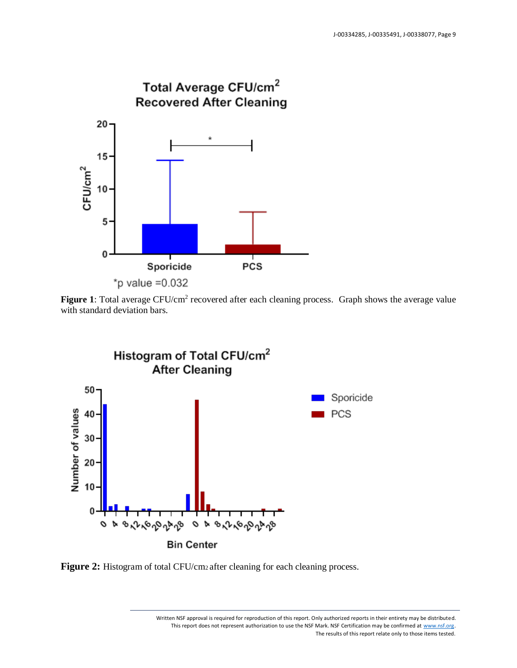

Figure 1: Total average CFU/cm<sup>2</sup> recovered after each cleaning process. Graph shows the average value with standard deviation bars.



Figure 2: Histogram of total CFU/cm<sub>2</sub> after cleaning for each cleaning process.

Written NSF approval is required for reproduction of this report. Only authorized reports in their entirety may be distributed. This report does not represent authorization to use the NSF Mark. NSF Certification may be confirmed a[t www.nsf.org.](http://www.nsf.org/) The results of this report relate only to those items tested.